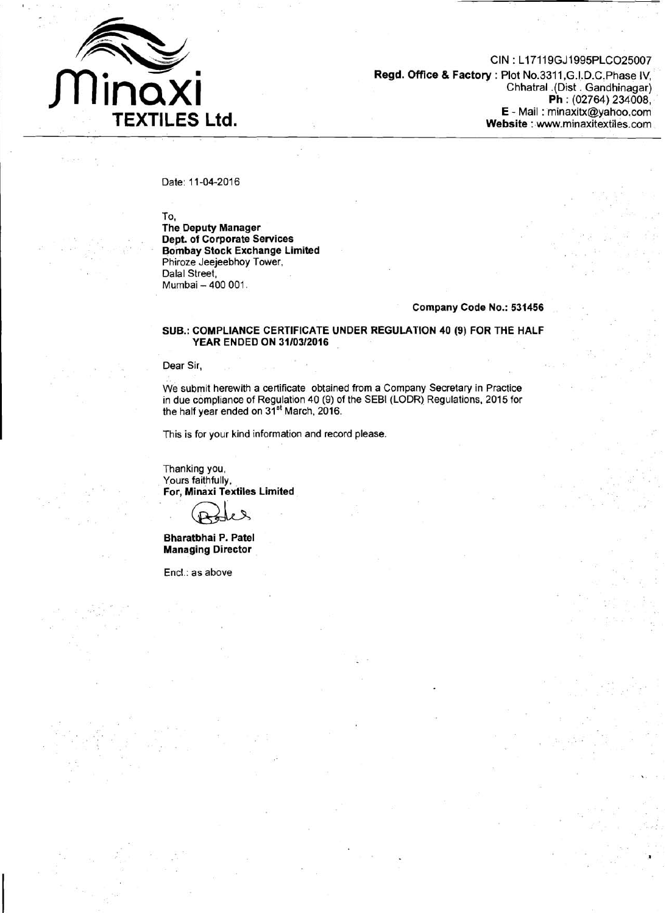

CIN : L17119GJ1995PLC025007 **Regd. Office** & **Factory** : Plot No.3311 ,G.I.D.C.Phase IV, Chhatral .(Dist . Gandhinagar) **Ph** : (02764) 234008, E - Mail : minaxitx@yahoo.com **Website** : www.minaxitextiles.com

Date: 11-04-2016

To,

**The Deputy Manager Dept. of Corporate Services Bombay Stock Exchange Limited**  Phiroze Jeejeebhoy Tower, Dalal Street, Mumbai - 400 001.

## **Company Code No.: 531456**

## **SUB.: COMPLIANCE CERTIFICATE UNDER REGULATION 40 (9) FOR THE HALF YEAR ENDED ON 31/0312016**

Dear Sir,

We submit herewith a certificate obtained from a Company Secretary in Practice in due compliance of Regulation 40 (9) of the SEBI (LODR) Regulations, 2015 for the half year ended on 31'' March, 2016.

This is for your kind information and record please.

Thanking you, Yours faithfully, **For, Minaxi Textiles Limited** 

**Bharatbhai P. Patel Managing Director** 

Encl.: as above